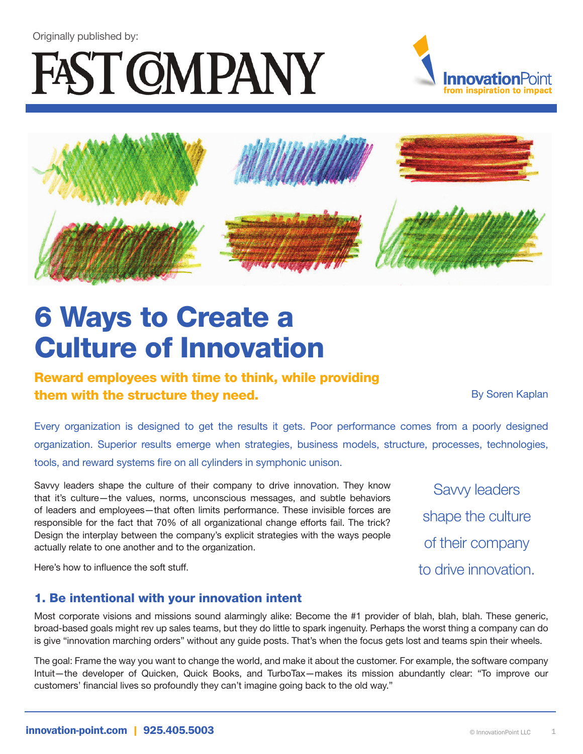#### Originally published by:

# FAST COMPANY





## 6 Ways to Create a Culture of Innovation

### Reward employees with time to think, while providing **them with the structure they need.** The structure they need. By Soren Kaplan

Savvy leaders

shape the culture

of their company

to drive innovation.

Every organization is designed to get the results it gets. Poor performance comes from a poorly designed organization. Superior results emerge when strategies, business models, structure, processes, technologies, tools, and reward systems fire on all cylinders in symphonic unison.

Savvy leaders shape the culture of their company to drive innovation. They know that it's culture—the values, norms, unconscious messages, and subtle behaviors of leaders and employees—that often limits performance. These invisible forces are responsible for the fact that 70% of all organizational change efforts fail. The trick? Design the interplay between the company's explicit strategies with the ways people actually relate to one another and to the organization.

Here's how to influence the soft stuff.

#### 1. Be intentional with your innovation intent

Most corporate visions and missions sound alarmingly alike: Become the #1 provider of blah, blah, blah. These generic, broad-based goals might rev up sales teams, but they do little to spark ingenuity. Perhaps the worst thing a company can do is give "innovation marching orders" without any guide posts. That's when the focus gets lost and teams spin their wheels.

The goal: Frame the way you want to change the world, and make it about the customer. For example, the software company Intuit—the developer of Quicken, Quick Books, and TurboTax—makes its mission abundantly clear: "To improve our customers' financial lives so profoundly they can't imagine going back to the old way."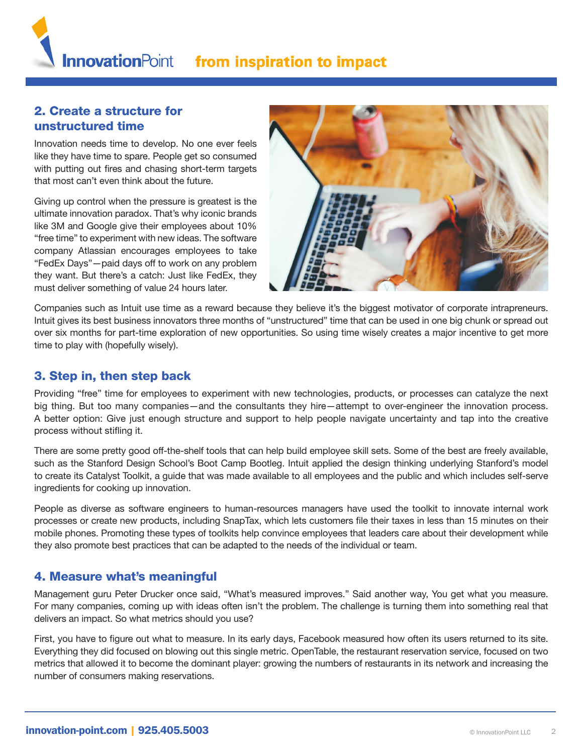#### 2. Create a structure for unstructured time

Innovation needs time to develop. No one ever feels like they have time to spare. People get so consumed with putting out fires and chasing short-term targets that most can't even think about the future.

Giving up control when the pressure is greatest is the ultimate innovation paradox. That's why iconic brands like 3M and Google give their employees about 10% "free time" to experiment with new ideas. The software company Atlassian encourages employees to take "FedEx Days"—paid days off to work on any problem they want. But there's a catch: Just like FedEx, they must deliver something of value 24 hours later.



Companies such as Intuit use time as a reward because they believe it's the biggest motivator of corporate intrapreneurs. Intuit gives its best business innovators three months of "unstructured" time that can be used in one big chunk or spread out over six months for part-time exploration of new opportunities. So using time wisely creates a major incentive to get more time to play with (hopefully wisely).

#### 3. Step in, then step back

Providing "free" time for employees to experiment with new technologies, products, or processes can catalyze the next big thing. But too many companies—and the consultants they hire—attempt to over-engineer the innovation process. A better option: Give just enough structure and support to help people navigate uncertainty and tap into the creative process without stifling it.

There are some pretty good off-the-shelf tools that can help build employee skill sets. Some of the best are freely available, such as the Stanford Design School's Boot Camp Bootleg. Intuit applied the design thinking underlying Stanford's model to create its Catalyst Toolkit, a guide that was made available to all employees and the public and which includes self-serve ingredients for cooking up innovation.

People as diverse as software engineers to human-resources managers have used the toolkit to innovate internal work processes or create new products, including SnapTax, which lets customers file their taxes in less than 15 minutes on their mobile phones. Promoting these types of toolkits help convince employees that leaders care about their development while they also promote best practices that can be adapted to the needs of the individual or team.

#### 4. Measure what's meaningful

Management guru Peter Drucker once said, "What's measured improves." Said another way, You get what you measure. For many companies, coming up with ideas often isn't the problem. The challenge is turning them into something real that delivers an impact. So what metrics should you use?

First, you have to figure out what to measure. In its early days, Facebook measured how often its users returned to its site. Everything they did focused on blowing out this single metric. OpenTable, the restaurant reservation service, focused on two metrics that allowed it to become the dominant player: growing the numbers of restaurants in its network and increasing the number of consumers making reservations.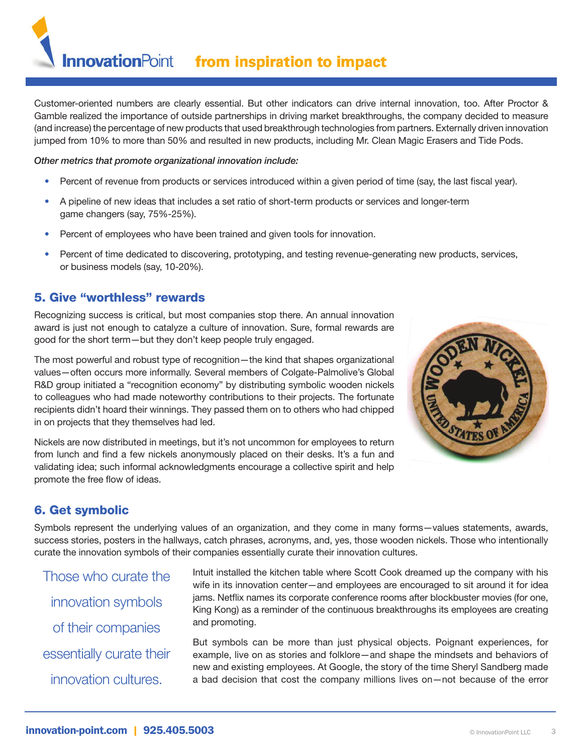**InnovationPoint** from inspiration to impact

Customer-oriented numbers are clearly essential. But other indicators can drive internal innovation, too. After Proctor & Gamble realized the importance of outside partnerships in driving market breakthroughs, the company decided to measure (and increase) the percentage of new products that used breakthrough technologies from partners. Externally driven innovation jumped from 10% to more than 50% and resulted in new products, including Mr. Clean Magic Erasers and Tide Pods.

#### *Other metrics that promote organizational innovation include:*

- Percent of revenue from products or services introduced within a given period of time (say, the last fiscal year).
- A pipeline of new ideas that includes a set ratio of short-term products or services and longer-term game changers (say, 75%-25%).
- Percent of employees who have been trained and given tools for innovation.
- Percent of time dedicated to discovering, prototyping, and testing revenue-generating new products, services, or business models (say, 10-20%).

#### 5. Give "worthless" rewards

Recognizing success is critical, but most companies stop there. An annual innovation award is just not enough to catalyze a culture of innovation. Sure, formal rewards are good for the short term—but they don't keep people truly engaged.

The most powerful and robust type of recognition—the kind that shapes organizational values—often occurs more informally. Several members of Colgate-Palmolive's Global R&D group initiated a "recognition economy" by distributing symbolic wooden nickels to colleagues who had made noteworthy contributions to their projects. The fortunate recipients didn't hoard their winnings. They passed them on to others who had chipped in on projects that they themselves had led.

Nickels are now distributed in meetings, but it's not uncommon for employees to return from lunch and find a few nickels anonymously placed on their desks. It's a fun and validating idea; such informal acknowledgments encourage a collective spirit and help promote the free flow of ideas.



#### 6. Get symbolic

Symbols represent the underlying values of an organization, and they come in many forms—values statements, awards, success stories, posters in the hallways, catch phrases, acronyms, and, yes, those wooden nickels. Those who intentionally curate the innovation symbols of their companies essentially curate their innovation cultures.

Those who curate the innovation symbols of their companies essentially curate their innovation cultures.

Intuit installed the kitchen table where Scott Cook dreamed up the company with his wife in its innovation center—and employees are encouraged to sit around it for idea jams. Netflix names its corporate conference rooms after blockbuster movies (for one, King Kong) as a reminder of the continuous breakthroughs its employees are creating and promoting.

But symbols can be more than just physical objects. Poignant experiences, for example, live on as stories and folklore—and shape the mindsets and behaviors of new and existing employees. At Google, the story of the time Sheryl Sandberg made a bad decision that cost the company millions lives on—not because of the error